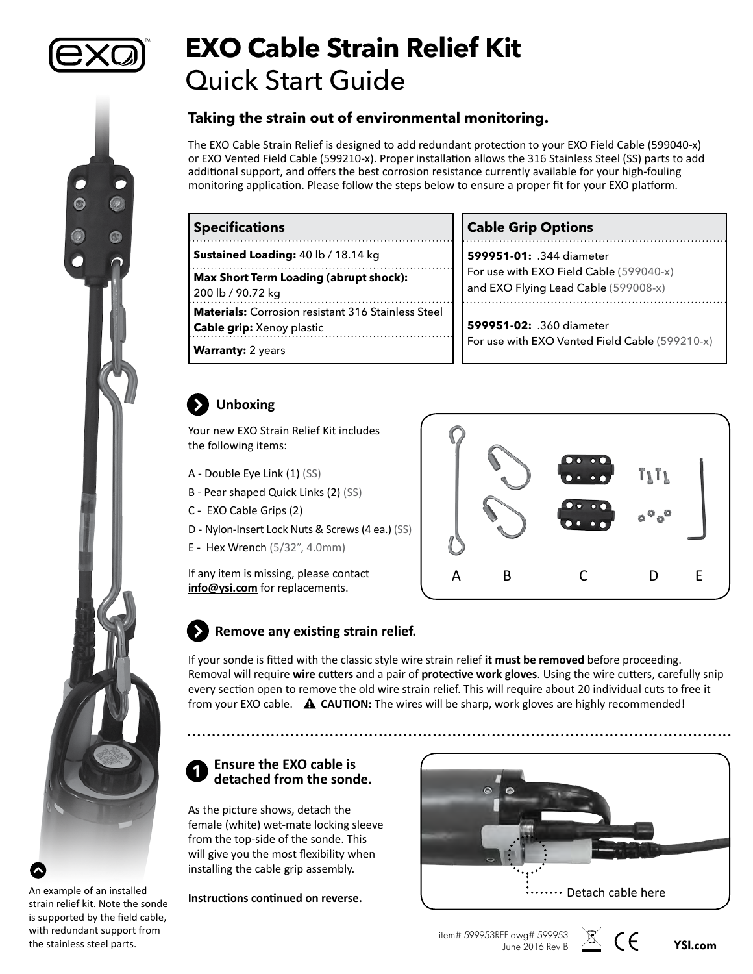

# **EXO Cable Strain Relief Kit** Quick Start Guide

### **Taking the strain out of environmental monitoring.**

The EXO Cable Strain Relief is designed to add redundant protection to your EXO Field Cable (599040-x) or EXO Vented Field Cable (599210-x). Proper installation allows the 316 Stainless Steel (SS) parts to add additional support, and offers the best corrosion resistance currently available for your high-fouling monitoring application. Please follow the steps below to ensure a proper fit for your EXO platform.

| <b>Specifications</b>                                                                         | <b>Cable Grip Options</b>                                                       |
|-----------------------------------------------------------------------------------------------|---------------------------------------------------------------------------------|
| <b>Sustained Loading: 40 lb / 18.14 kg</b>                                                    | 599951-01: .344 diameter                                                        |
| <b>Max Short Term Loading (abrupt shock):</b><br>200 lb / 90.72 kg                            | For use with EXO Field Cable (599040-x)<br>and EXO Flying Lead Cable (599008-x) |
| <b>Materials:</b> Corrosion resistant 316 Stainless Steel<br><b>Cable grip:</b> Xenoy plastic | 599951-02: .360 diameter<br>For use with EXO Vented Field Cable (599210-x)      |
| <b>Warranty: 2 years</b>                                                                      |                                                                                 |

## **Unboxing**

Your new EXO Strain Relief Kit includes the following items:

- A Double Eye Link (1) (SS)
- B Pear shaped Quick Links (2) (SS)
- C EXO Cable Grips (2)
- D Nylon-Insert Lock Nuts & Screws (4 ea.) (SS)
- E Hex Wrench (5/32", 4.0mm)

If any item is missing, please contact **[info@ysi.com](mailto:info%40ysi.com?subject=Missing%20Items%20-%20599827%20EXO%20Wiped%20Cond/Temp)** for replacements.



#### **Remove any existing strain relief.**  $\boldsymbol{\Sigma}$

If your sonde is fitted with the classic style wire strain relief **it must be removed** before proceeding. Removal will require **wire cutters** and a pair of **protective work gloves**. Using the wire cutters, carefully snip every section open to remove the old wire strain relief. This will require about 20 individual cuts to free it from your EXO cable. **CAUTION:** The wires will be sharp, work gloves are highly recommended!

#### **Ensure the EXO cable is detached from the sonde. 1**

As the picture shows, detach the female (white) wet-mate locking sleeve from the top-side of the sonde. This will give you the most flexibility when installing the cable grip assembly.

**Instructions continued on reverse.**



item# 599953REF dwg# 599953 June 2016 Rev B **[YSI.com](http://www.ysi.com)**



An example of an installed strain relief kit. Note the sonde is supported by the field cable, with redundant support from the stainless steel parts.